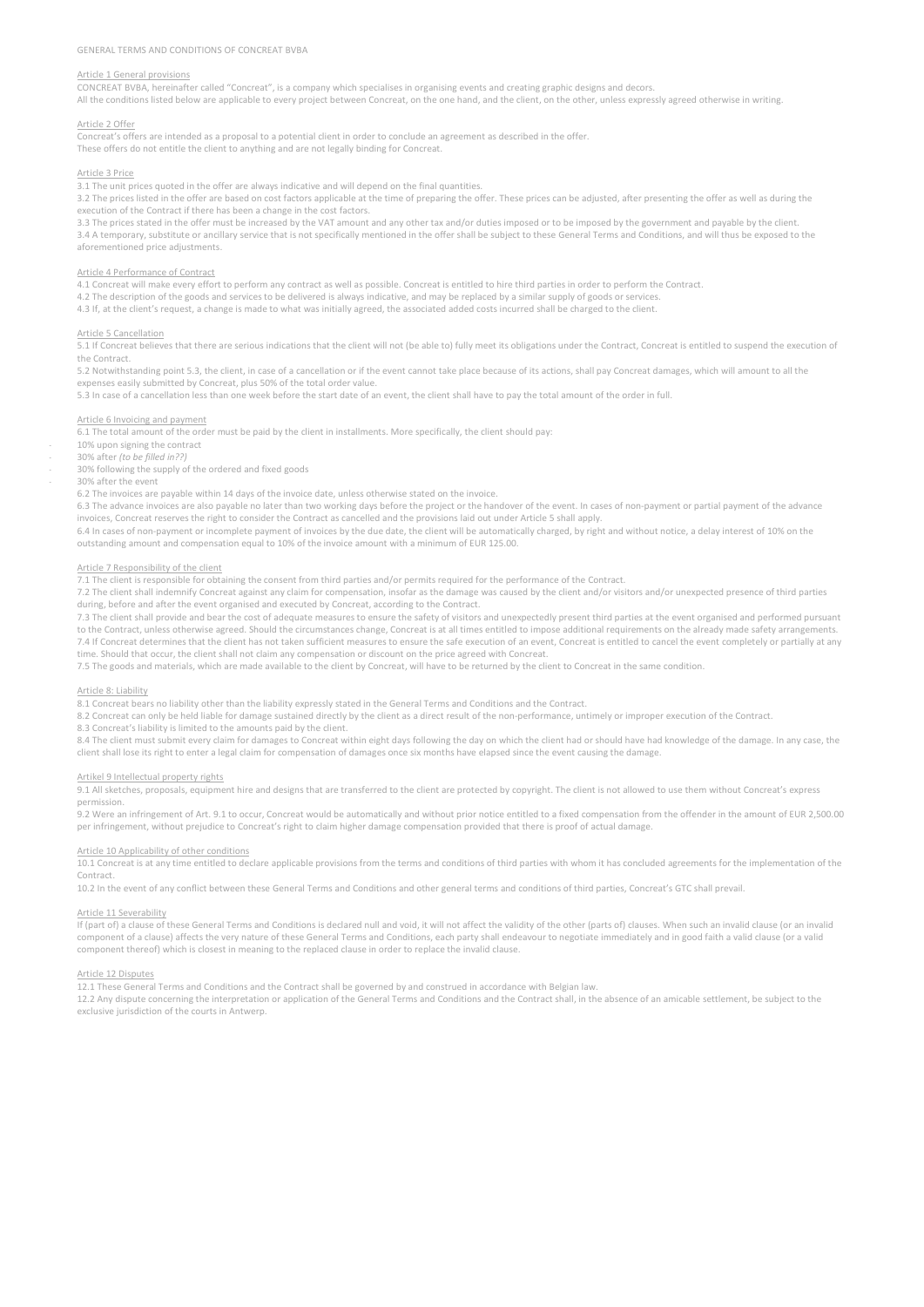## Article 1 General provisions

CONCREAT BVBA, hereinafter called "Concreat", is a company which specialises in organising events and creating graphic designs and decors. All the conditions listed below are applicable to every project between Concreat, on the one hand, and the client, on the other, unless expressly agreed otherwise in writing

## Article 2 Offer

Concreat's offers are intended as a proposal to a potential client in order to conclude an agreement as described in the offer. These offers do not entitle the client to anything and are not legally binding for Concreat.

#### Article 3 Price

3.1 The unit prices quoted in the offer are always indicative and will depend on the final quantities.

3.2 The prices listed in the offer are based on cost factors applicable at the time of preparing the offer. These prices can be adjusted, after presenting the offer as well as during the execution of the Contract if there has been a change in the cost factors.

3.3 The prices stated in the offer must be increased by the VAT amount and any other tax and/or duties imposed or to be imposed by the government and payable by the client 3.4 A temporary, substitute or ancillary service that is not specifically mentioned in the offer shall be subject to these General Terms and Conditions, and will thus be exposed to the aforementioned price adjustments.

## Article 4 Performance of Contract

4.1 Concreat will make every effort to perform any contract as well as possible. Concreat is entitled to hire third parties in order to perform the Contract.

4.2 The description of the goods and services to be delivered is always indicative, and may be replaced by a similar supply of goods or services.

4.3 If, at the client's request, a change is made to what was initially agreed, the associated added costs incurred shall be charged to the client.

#### Article 5 Cancellation

 $\overline{5.1}$  If Concreat believes that there are serious indications that the client will not (be able to) fully meet its obligations under the Contract, Concreat is entitled to suspend the execution of the Contract.

5.2 Notwithstanding point 5.3, the client, in case of a cancellation or if the event cannot take place because of its actions, shall pay Concreat damages, which will amount to all the

expenses easily submitted by Concreat, plus 50% of the total order value. 5.3 In case of a cancellation less than one week before the start date of an event, the client shall have to pay the total amount of the order in full.

### Article 6 Invoicing and payment

6.1 The total amount of the order must be paid by the client in installments. More specifically, the client should pay:

10% upon signing the contract

- 30% after *(to be filled in??)*

30% following the supply of the ordered and fixed goods

- 30% after the event

6.2 The invoices are payable within 14 days of the invoice date, unless otherwise stated on the invoice.

6.3 The advance invoices are also payable no later than two working days before the project or the handover of the event. In cases of non-payment or partial payment of the advance invoices, Concreat reserves the right to consider the Contract as cancelled and the provisions laid out under Article 5 shall apply.

6.4 In cases of non-payment or incomplete payment of invoices by the due date, the client will be automatically charged, by right and without notice, a delay interest of 10% on the outstanding amount and compensation equal to 10% of the invoice amount with a minimum of EUR 125.00.

## Article 7 Responsibility of the client

7.1 The client is responsible for obtaining the consent from third parties and/or permits required for the performance of the Contract.

7.2 The client shall indemnify Concreat against any claim for compensation, insofar as the damage was caused by the client and/or visitors and/or unexpected presence of third parties during, before and after the event organised and executed by Concreat, according to the Contract.

7.3 The client shall provide and bear the cost of adequate measures to ensure the safety of visitors and unexpectedly present third parties at the event organised and performed pursuant to the Contract, unless otherwise agreed. Should the circumstances change, Concreat is at all times entitled to impose additional requirements on the already made safety arrangements. 7.4 If Concreat determines that the client has not taken sufficient measures to ensure the safe execution of an event, Concreat is entitled to cancel the event completely or partially at any time. Should that occur, the client shall not claim any compensation or discount on the price agreed with Concreat.

7.5 The goods and materials, which are made available to the client by Concreat, will have to be returned by the client to Concreat in the same condition.

#### Article 8: Liability

8.1 Concreat bears no liability other than the liability expressly stated in the General Terms and Conditions and the Contract.

8.2 Concreat can only be held liable for damage sustained directly by the client as a direct result of the non-performance, untimely or improper execution of the Contract.

8.3 Concreat's liability is limited to the amounts paid by the client.

8.4 The client must submit every claim for damages to Concreat within eight days following the day on which the client had or should have had knowledge of the damage. In any case, the client shall lose its right to enter a legal claim for compensation of damages once six months have elapsed since the event causing the damage.

#### Artikel 9 Intellectual property rights

9.1 All sketches, proposals, equipment hire and designs that are transferred to the client are protected by copyright. The client is not allowed to use them without Concreat's express permission.

9.2 Were an infringement of Art. 9.1 to occur, Concreat would be automatically and without prior notice entitled to a fixed compensation from the offender in the amount of EUR 2,500.00 per infringement, without prejudice to Concreat's right to claim higher damage compensation provided that there is proof of actual damage

#### Article 10 Applicability of other conditions

10.1 Concreat is at any time entitled to declare applicable provisions from the terms and conditions of third parties with whom it has concluded agreements for the implementation of the Contract.

10.2 In the event of any conflict between these General Terms and Conditions and other general terms and conditions of third parties, Concreat's GTC shall prevail.

#### Article 11 Severability

If (part of) a clause of these General Terms and Conditions is declared null and void, it will not affect the validity of the other (parts of) clauses. When such an invalid clause (or an invalid component of a clause) affects the very nature of these General Terms and Conditions, each party shall endeavour to negotiate immediately and in good faith a valid clause (or a valid component thereof) which is closest in meaning to the replaced clause in order to replace the invalid clause.

### Article 12 Disputes

12.1 These General Terms and Conditions and the Contract shall be governed by and construed in accordance with Belgian law.

12.2 Any dispute concerning the interpretation or application of the General Terms and Conditions and the Contract shall, in the absence of an amicable settlement, be subject to the exclusive jurisdiction of the courts in Antwerp.